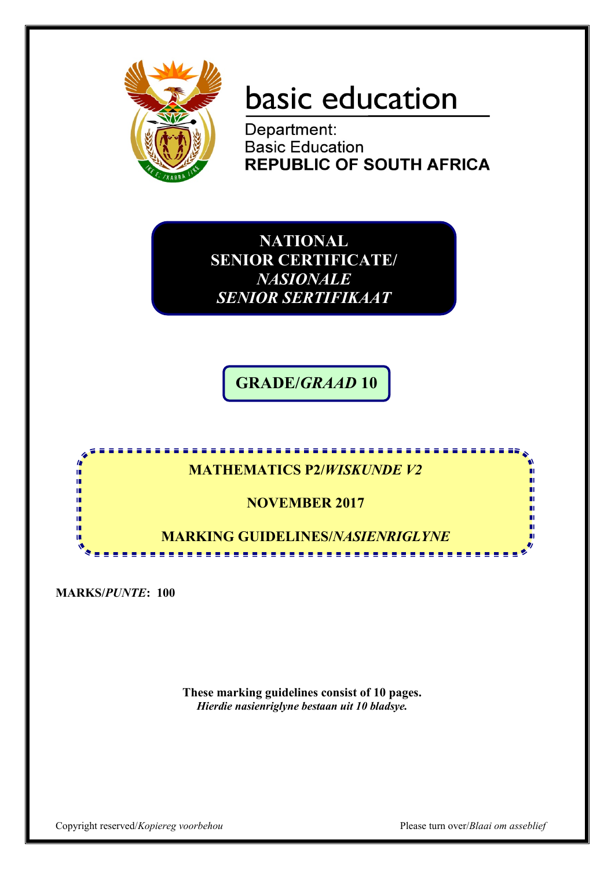

# basic education

Department: **Basic Education REPUBLIC OF SOUTH AFRICA** 

**NATIONAL SENIOR CERTIFICATE/**  *NASIONALE SENIOR SERTIFIKAAT*

**GRADE/***GRAAD* **10**



**MARKS/***PUNTE***: 100**

**These marking guidelines consist of 10 pages.** *Hierdie nasienriglyne bestaan uit 10 bladsye.*

Copyright reserved/*Kopiereg voorbehou* Please turn over/*Blaai om asseblief*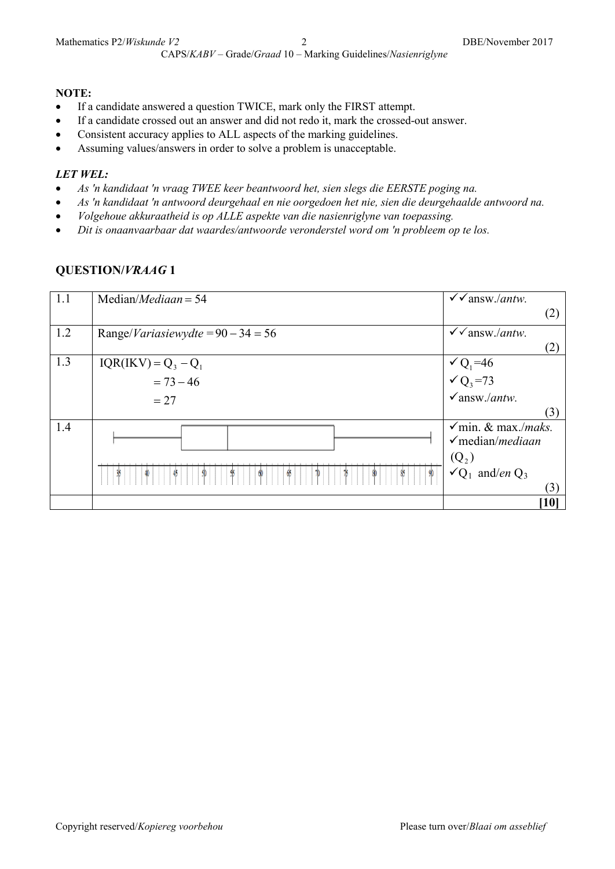#### **NOTE:**

- If a candidate answered a question TWICE, mark only the FIRST attempt.
- If a candidate crossed out an answer and did not redo it, mark the crossed-out answer.
- Consistent accuracy applies to ALL aspects of the marking guidelines.
- Assuming values/answers in order to solve a problem is unacceptable.

#### *LET WEL:*

- *As 'n kandidaat 'n vraag TWEE keer beantwoord het, sien slegs die EERSTE poging na.*
- *As 'n kandidaat 'n antwoord deurgehaal en nie oorgedoen het nie, sien die deurgehaalde antwoord na.*
- *Volgehoue akkuraatheid is op ALLE aspekte van die nasienriglyne van toepassing.*
- *Dit is onaanvaarbaar dat waardes/antwoorde veronderstel word om 'n probleem op te los.*

| 1.1 | Median/ <i>Mediaan</i> = $54$                | $\checkmark$ answ./ <i>antw.</i>                                              |
|-----|----------------------------------------------|-------------------------------------------------------------------------------|
|     |                                              | (2)                                                                           |
| 1.2 | Range/ <i>Variasiewydte</i> = $90 - 34 = 56$ | $\checkmark$ answ./ <i>antw.</i>                                              |
|     |                                              | (2)                                                                           |
| 1.3 | $IQR(IKV) = Q_3 - Q_1$                       | $\sqrt{Q_1}$ =46<br>$\sqrt{Q_3}$ =73                                          |
|     | $= 73 - 46$                                  |                                                                               |
|     | $= 27$                                       | $\checkmark$ answ./antw.                                                      |
|     |                                              | (3)                                                                           |
| 1.4 |                                              | $\checkmark$ min. & max./ <i>maks.</i><br>$\checkmark$ median/ <i>mediaan</i> |
|     |                                              |                                                                               |
|     |                                              | $(Q_2)$                                                                       |
|     |                                              | $\sqrt{Q_1}$ and/en $Q_3$                                                     |
|     |                                              | (3)                                                                           |
|     |                                              | $\left[10\right]$                                                             |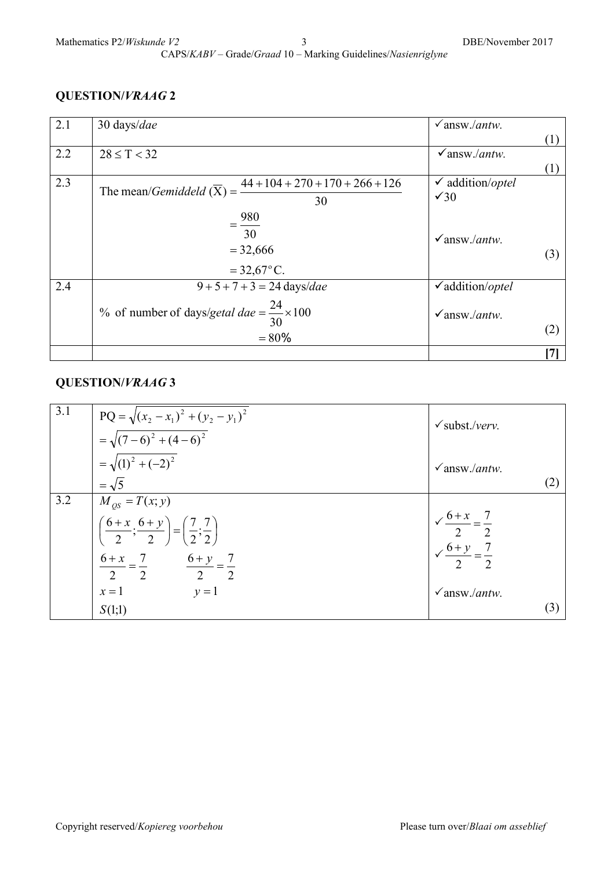| 2.1 | $30 \text{ days}/dae$                                                               | $\sqrt{answ/antw}$ .        |     |
|-----|-------------------------------------------------------------------------------------|-----------------------------|-----|
|     |                                                                                     |                             | (1) |
| 2.2 | $28 \le T < 32$                                                                     | $\sqrt{answ/antw}$ .        |     |
|     |                                                                                     |                             | (1) |
| 2.3 | $44 + 104 + 270 + 170 + 266 + 126$<br>The mean/ <i>Gemiddeld</i> $(\overline{X})$ = | $\checkmark$ addition/optel |     |
|     | 30                                                                                  | $\sqrt{30}$                 |     |
|     | $= \frac{980}{100}$                                                                 |                             |     |
|     | 30                                                                                  | $\sqrt{answ/antw}$ .        |     |
|     | $= 32,666$                                                                          |                             | (3) |
|     | $= 32,67^{\circ}$ C.                                                                |                             |     |
| 2.4 | $9 + 5 + 7 + 3 = 24 \text{ days}/dae$                                               | $\checkmark$ addition/optel |     |
|     |                                                                                     |                             |     |
|     | % of number of days/getal dae = $\frac{24}{30} \times 100$                          | $\sqrt{answ/antw}$ .        |     |
|     | $= 80\%$                                                                            |                             | (2) |
|     |                                                                                     |                             | [7] |

| 3.1 | $PQ = \sqrt{(x_2 - x_1)^2 + (y_2 - y_1)^2}$<br>$=\sqrt{(7-6)^2+(4-6)^2}$                                                                                                                                    | $\checkmark$ subst./verv.                                                                                   |
|-----|-------------------------------------------------------------------------------------------------------------------------------------------------------------------------------------------------------------|-------------------------------------------------------------------------------------------------------------|
|     | $=\sqrt{(1)^2+(-2)^2}$<br>$=\sqrt{5}$                                                                                                                                                                       | $\sqrt{answ/antw}$ .<br>(2)                                                                                 |
| 3.2 | $M_{\rho s} = T(x; y)$<br>$\left(\frac{6+x}{2};\frac{6+y}{2}\right)=\left(\frac{7}{2};\frac{7}{2}\right)$<br>$\frac{6+x}{2} = \frac{7}{2}$ $\qquad \frac{6+y}{2} = \frac{7}{2}$<br>$y=1$<br>$x=1$<br>S(1;1) | $\sqrt{\frac{6+x}{2}} = \frac{7}{2}$<br>$\sqrt{\frac{6+y}{2}} = \frac{7}{2}$<br>$\sqrt{answ/antw}$ .<br>(3) |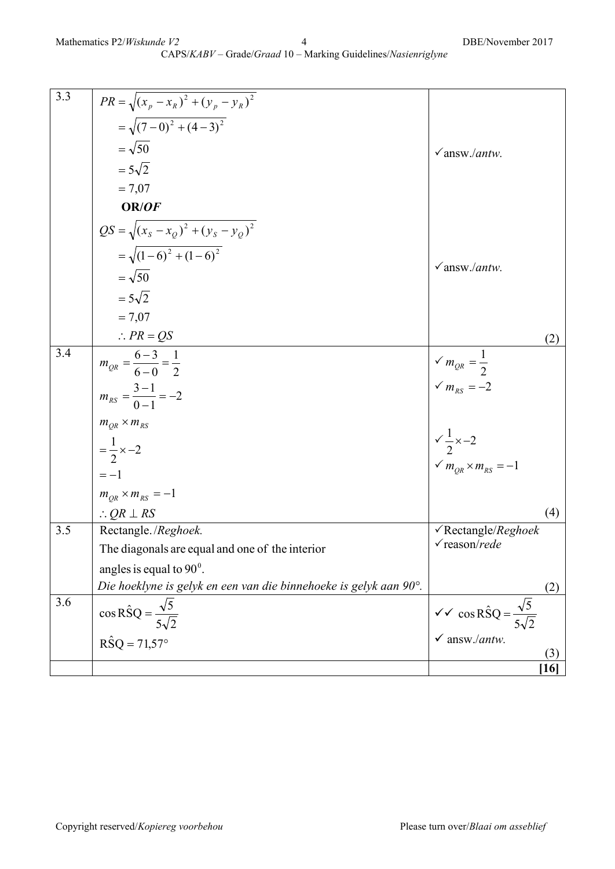| $\overline{3.3}$ | $PR = \sqrt{(x_p - x_R)^2 + (y_p - y_R)^2}$                       |                                                                                             |     |
|------------------|-------------------------------------------------------------------|---------------------------------------------------------------------------------------------|-----|
|                  | $=\sqrt{(7-0)^2+(4-3)^2}$                                         |                                                                                             |     |
|                  | $=\sqrt{50}$                                                      | $\sqrt{answ/antw}$ .                                                                        |     |
|                  | $=5\sqrt{2}$                                                      |                                                                                             |     |
|                  | $= 7,07$                                                          |                                                                                             |     |
|                  | OR/OF                                                             |                                                                                             |     |
|                  | $QS = \sqrt{(x_s - x_Q)^2 + (y_s - y_Q)^2}$                       |                                                                                             |     |
|                  | $=\sqrt{(1-6)^2+(1-6)^2}$                                         |                                                                                             |     |
|                  | $=\sqrt{50}$                                                      | $\sqrt{answ/antw}$ .                                                                        |     |
|                  | $=5\sqrt{2}$                                                      |                                                                                             |     |
|                  | $= 7,07$                                                          |                                                                                             |     |
|                  | $\therefore PR = QS$                                              |                                                                                             | (2) |
| $\overline{3.4}$ | $m_{QR} = \frac{6-3}{6-0} = \frac{1}{2}$                          |                                                                                             |     |
|                  |                                                                   | $\sqrt{m_{QR}} = \frac{1}{2}$<br>$\sqrt{m_{RS}} = -2$                                       |     |
|                  | $m_{RS} = \frac{3-1}{0-1} = -2$                                   |                                                                                             |     |
|                  | $m_{OR}$ × $m_{RS}$                                               |                                                                                             |     |
|                  | $=\frac{1}{2} \times -2$                                          | $\frac{1}{2} \times -2$<br>$\checkmark m_{QR} \times m_{RS} = -1$                           |     |
|                  |                                                                   |                                                                                             |     |
|                  | $=-1$                                                             |                                                                                             |     |
|                  | $m_{QR} \times m_{RS} = -1$                                       |                                                                                             |     |
|                  | $\therefore QR \perp RS$                                          |                                                                                             | (4) |
| 3.5              | Rectangle./Reghoek.                                               | $\sqrt{\text{Rectangle}}$ /Rectangle/Reghoek                                                |     |
|                  | The diagonals are equal and one of the interior                   | $\checkmark$ reason/rede                                                                    |     |
|                  | angles is equal to $90^\circ$ .                                   |                                                                                             |     |
|                  | Die hoeklyne is gelyk en een van die binnehoeke is gelyk aan 90°. |                                                                                             | (2) |
| 3.6              | $\cos \hat{\text{RSO}} = \frac{\sqrt{5}}{2}$                      | $\sqrt{\checkmark} \cos \hat{\text{R}} \hat{\text{S}} \text{Q} = \frac{\sqrt{5}}{\sqrt{5}}$ |     |

 $R\hat{S}Q = 71,57^{\circ}$ 

 $5\sqrt{2}$ 

answ./*antw.*

 $5\sqrt{2}$ 

(3) **[16]**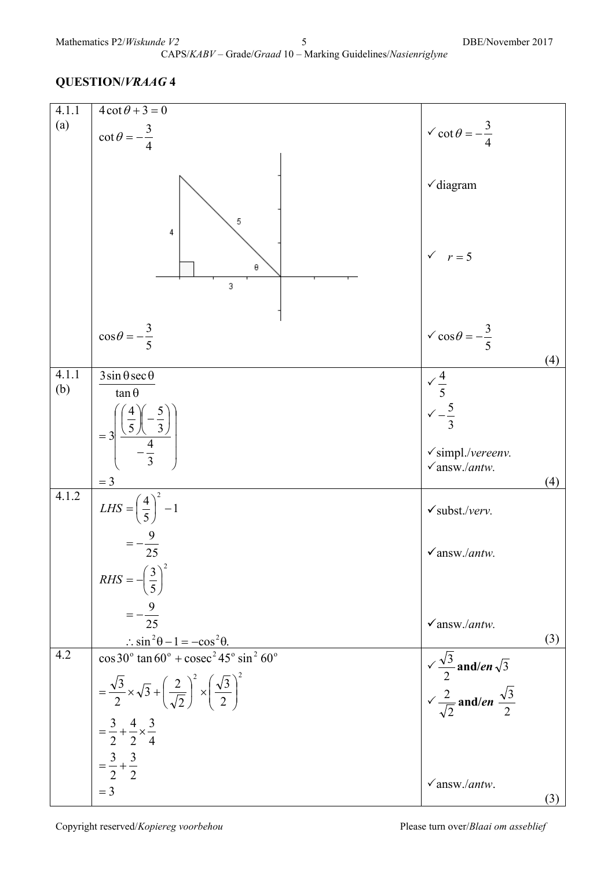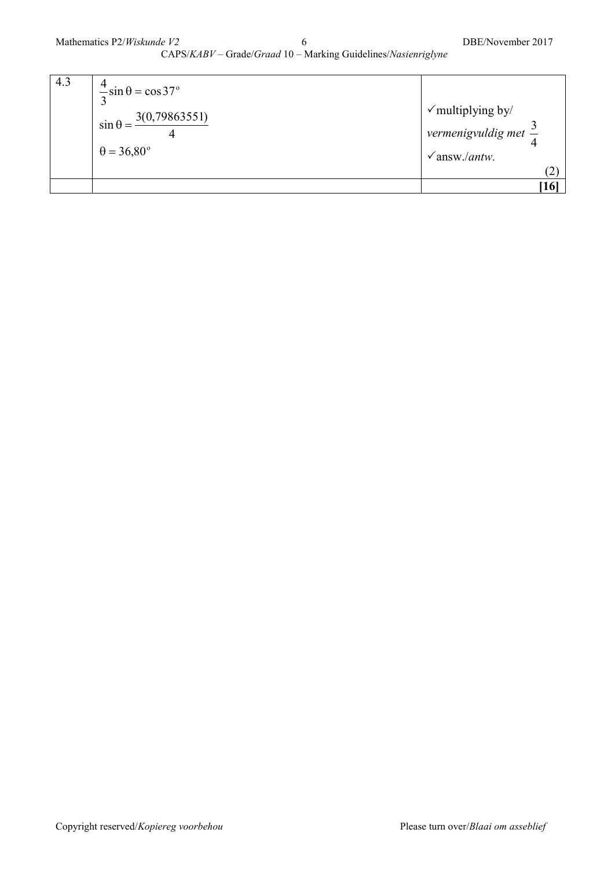| 4.3 | $\frac{4}{\pi}$ sin $\theta$ = cos 37°<br>$\frac{1}{\sin \theta} = \frac{3(0.79863551)}{1}$<br>$\theta = 36,80^\circ$ | $\checkmark$ multiplying by/<br>vermenigvuldig met $\frac{3}{4}$<br>$\sqrt{answ.}$ / <i>antw.</i> |
|-----|-----------------------------------------------------------------------------------------------------------------------|---------------------------------------------------------------------------------------------------|
|     |                                                                                                                       | <b>16</b>                                                                                         |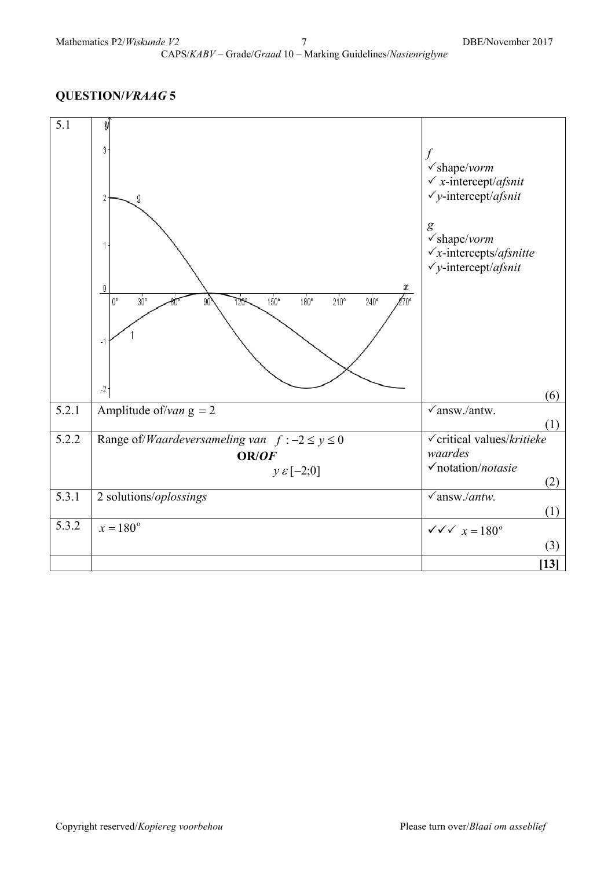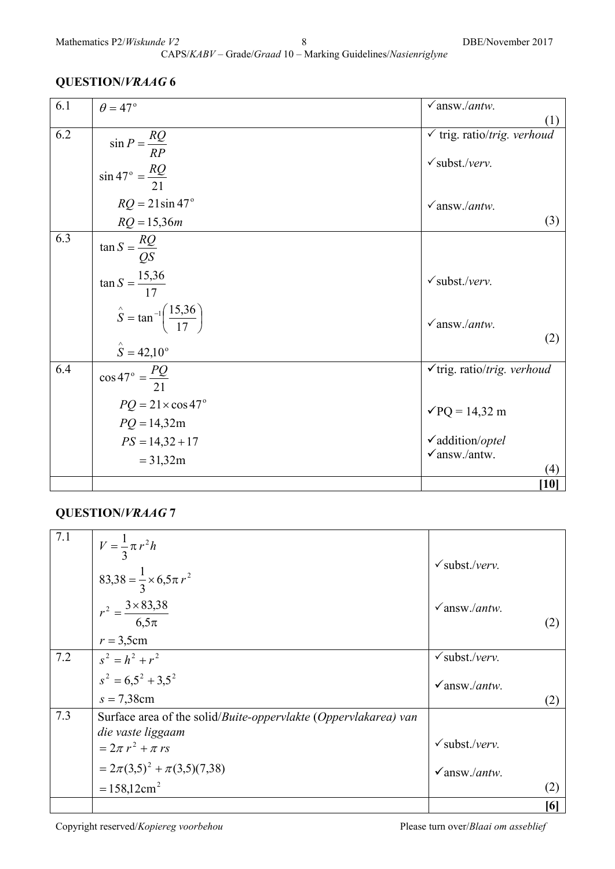| 6.1 | $\theta = 47^\circ$                                   | $\sqrt{answ/antw}$ .                   |
|-----|-------------------------------------------------------|----------------------------------------|
|     |                                                       | (1)                                    |
| 6.2 |                                                       | $\checkmark$ trig. ratio/trig. verhoud |
|     | $\sin P = \frac{RQ}{RP}$                              |                                        |
|     |                                                       | $\checkmark$ subst./verv.              |
|     | $\sin 47^\circ = \frac{RQ}{21}$                       |                                        |
|     | $RQ = 21\sin 47^\circ$                                | $\sqrt{answ/antw}$ .                   |
|     | $RQ = 15,36m$                                         | (3)                                    |
| 6.3 | $\tan S = \frac{RQ}{QS}$                              |                                        |
|     |                                                       |                                        |
|     | $\tan S = \frac{15,36}{17}$                           | $\checkmark$ subst./verv.              |
|     |                                                       |                                        |
|     | $\hat{S} = \tan^{-1} \left( \frac{15,36}{17} \right)$ | $\sqrt{answ.}$ /antw.                  |
|     | $\hat{S} = 42,10^{\circ}$                             | (2)                                    |
| 6.4 | $\cos 47^\circ = \frac{PQ}{21}$                       | $\checkmark$ trig. ratio/trig. verhoud |
|     | $PQ = 21 \times \cos 47^\circ$                        | $\sqrt{PQ} = 14,32 \text{ m}$          |
|     | $PQ = 14,32m$                                         |                                        |
|     | $PS = 14,32 + 17$                                     | $\checkmark$ addition/optel            |
|     | $= 31,32m$                                            | $\sqrt{answ/antw}$ .                   |
|     |                                                       | (4)                                    |
|     |                                                       | $[10]$                                 |

## **QUESTION/***VRAAG* **7**

| 7.1 | $V = \frac{1}{3} \pi r^2 h$                                             |                                   |     |
|-----|-------------------------------------------------------------------------|-----------------------------------|-----|
|     | $83,38 = \frac{1}{3} \times 6,5\pi r^2$                                 | $\checkmark$ subst./verv.         |     |
|     | $r^2 = \frac{3 \times 83,38}{6,5\pi}$                                   | $\sqrt{answ/antw}$ .              |     |
|     | $r = 3,5$ cm                                                            |                                   |     |
| 7.2 | $s^{2} = h^{2} + r^{2}$                                                 | $\checkmark$ subst./verv.         |     |
|     | $s^2 = 6.5^2 + 3.5^2$                                                   | $\sqrt{answ/antw}$ .              |     |
|     | $s = 7,38$ cm                                                           |                                   | (2) |
| 7.3 | Surface area of the solid/ <i>Buite-oppervlakte (Oppervlakarea)</i> van |                                   |     |
|     | die vaste liggaam                                                       |                                   |     |
|     | $= 2\pi r^2 + \pi rs$                                                   | $\checkmark$ subst./verv.         |     |
|     | $=2\pi(3,5)^{2}+\pi(3,5)(7,38)$                                         | $\checkmark$ answ./ <i>antw</i> . |     |
|     | $= 158,12 \text{cm}^2$                                                  |                                   | (2) |
|     |                                                                         |                                   | [6] |

Copyright reserved/*Kopiereg voorbehou* Please turn over/*Blaai om asseblief*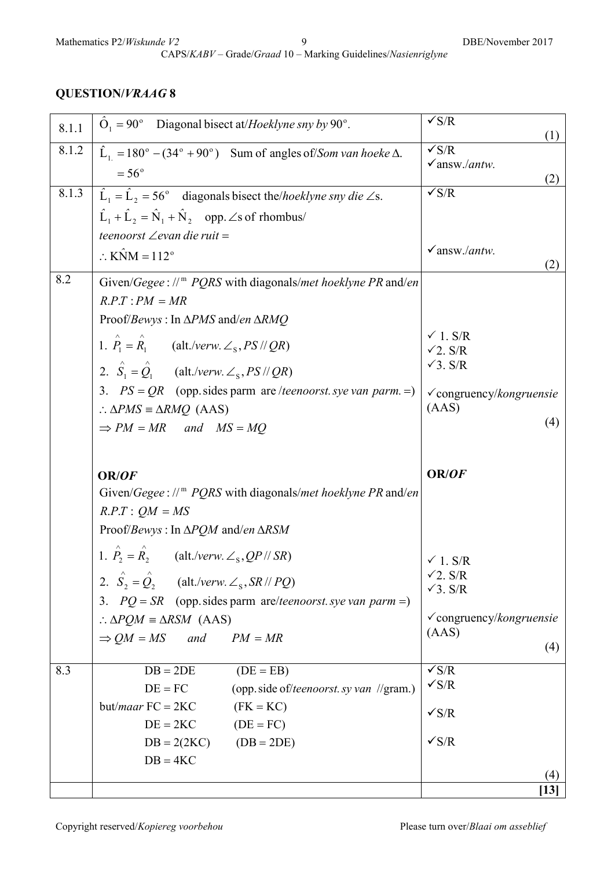CAPS/*KABV* – Grade/*Graad* 10 – Marking Guidelines/*Nasienriglyne*

|     | teenoorst $\angle$ evan die ruit =                                                                                                       |                                          |
|-----|------------------------------------------------------------------------------------------------------------------------------------------|------------------------------------------|
|     | $\therefore$ KNM = 112 <sup>°</sup>                                                                                                      | $\checkmark$ answ./ <i>antw</i> .<br>(2) |
| 8.2 | Given/Gegee: // <sup>m</sup> PQRS with diagonals/met hoeklyne PR and/en                                                                  |                                          |
|     | $R.P.T : PM = MR$                                                                                                                        |                                          |
|     | Proof/Bewys: In $\triangle PMS$ and/en $\triangle RMQ$                                                                                   |                                          |
|     | 1. $\hat{P}_1 = \hat{R}_1$ (alt./verw. $\angle$ <sub>s</sub> , <i>PS</i> // <i>QR</i> )                                                  | $\checkmark$ 1. S/R<br>$\sqrt{2}$ . S/R  |
|     | 2. $\hat{S}_1 = \hat{Q}_1$ (alt./verw. $\angle$ <sub>s</sub> , <i>PS</i> // <i>QR</i> )                                                  | $\sqrt{3}$ . S/R                         |
|     | 3. $PS = QR$ (opp. sides parm are /teenoorst. sye van parm. =)                                                                           | $\checkmark$ congruency/kongruensie      |
|     | $\therefore \triangle PMS \equiv \triangle RMQ$ (AAS)                                                                                    | (AdS)                                    |
|     | $\Rightarrow PM = MR$ and $MS = MQ$                                                                                                      | (4)                                      |
|     |                                                                                                                                          |                                          |
|     |                                                                                                                                          |                                          |
|     | OR/OF                                                                                                                                    | OR/OF                                    |
|     | Given/Gegee: $\mathcal{W}^m$ PQRS with diagonals/met hoeklyne PR and/en                                                                  |                                          |
|     | $R.P.T$ : $QM = MS$                                                                                                                      |                                          |
|     | Proof/Bewys: In $\Delta PQM$ and/en $\Delta RSM$                                                                                         |                                          |
|     | 1. $\hat{P}_2 = \hat{R}_2$ (alt./verw. $\angle$ <sub>s</sub> , QP // SR)                                                                 |                                          |
|     |                                                                                                                                          | $\checkmark$ 1. S/R<br>$\sqrt{2}$ . S/R  |
|     | 2. $\hat{S}_2 = \hat{Q}_2$ (alt./verw. $\angle$ <sub>s</sub> , SR // PQ)<br>3. $PQ = SR$ (opp. sides parm are/teenoorst. sye van parm =) | $\sqrt{3}$ . S/R                         |
|     | $\therefore \triangle PQM \equiv \triangle RSM$ (AAS)                                                                                    | $\checkmark$ congruency/kongruensie      |
|     | $\Rightarrow$ QM = MS and<br>$PM = MR$                                                                                                   | (AdS)                                    |
|     |                                                                                                                                          | (4)                                      |
| 8.3 | $DB = 2DE$<br>$(DE = EB)$                                                                                                                | $\sqrt{s/R}$<br>$\sqrt{s/R}$             |
|     | (opp. side of/teenoorst. sy van //gram.)<br>$DE = FC$                                                                                    |                                          |
|     | but/ <i>maar</i> $FC = 2KC$<br>$(FK = KC)$                                                                                               | $\sqrt{s/R}$                             |
|     | $DE = 2KC$<br>$(DE = FC)$                                                                                                                | $\sqrt{s/R}$                             |
|     | $DB = 2(2KC)$ $(DB = 2DE)$<br>$DB = 4KC$                                                                                                 |                                          |
|     |                                                                                                                                          | (4)<br>$\left[13\right]$                 |